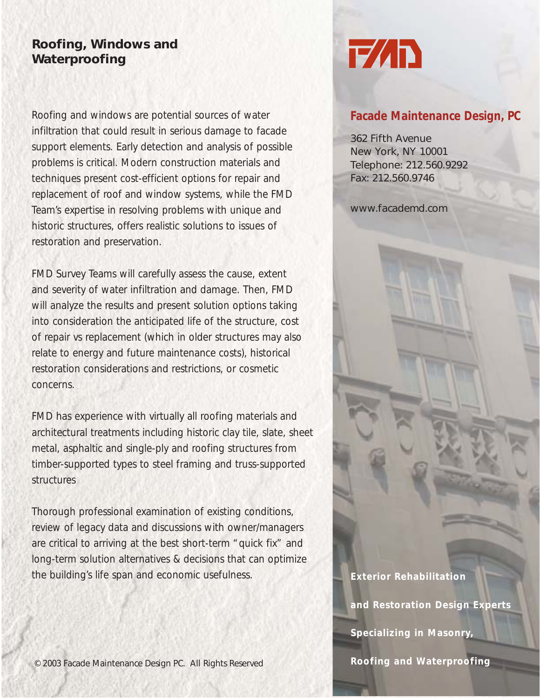## **Roofing, Windows and Waterproofing**

Roofing and windows are potential sources of water infiltration that could result in serious damage to facade support elements. Early detection and analysis of possible problems is critical. Modern construction materials and techniques present cost-efficient options for repair and replacement of roof and window systems, while the FMD Team's expertise in resolving problems with unique and historic structures, offers realistic solutions to issues of restoration and preservation.

FMD Survey Teams will carefully assess the cause, extent and severity of water infiltration and damage. Then, FMD will analyze the results and present solution options taking into consideration the anticipated life of the structure, cost of repair vs replacement (which in older structures may also relate to energy and future maintenance costs), historical restoration considerations and restrictions, or cosmetic concerns.

FMD has experience with virtually all roofing materials and architectural treatments including historic clay tile, slate, sheet metal, asphaltic and single-ply and roofing structures from timber-supported types to steel framing and truss-supported structures

Thorough professional examination of existing conditions, review of legacy data and discussions with owner/managers are critical to arriving at the best short-term "quick fix" and long-term solution alternatives & decisions that can optimize the building's life span and economic usefulness.



## **Facade Maintenance Design, PC**

362 Fifth Avenue New York, NY 10001 Telephone: 212.560.9292 Fax: 212.560.9746

www.facademd.com

**Exterior Rehabilitation** 

**and Restoration Design Experts**

**Specializing in Masonry,** 

**Roofing and Waterproofing**